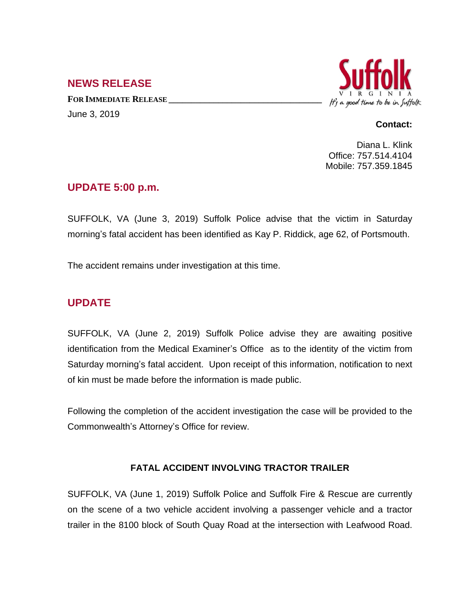## **NEWS RELEASE**

**FOR IMMEDIATE RELEASE \_\_\_\_\_\_\_\_\_\_\_\_\_\_\_\_\_\_\_\_\_\_\_\_\_\_\_\_\_\_\_\_\_\_** June 3, 2019



#### **Contact:**

Diana L. Klink Office: 757.514.4104 Mobile: 757.359.1845

#### **UPDATE 5:00 p.m.**

SUFFOLK, VA (June 3, 2019) Suffolk Police advise that the victim in Saturday morning's fatal accident has been identified as Kay P. Riddick, age 62, of Portsmouth.

The accident remains under investigation at this time.

# **UPDATE**

SUFFOLK, VA (June 2, 2019) Suffolk Police advise they are awaiting positive identification from the Medical Examiner's Office as to the identity of the victim from Saturday morning's fatal accident. Upon receipt of this information, notification to next of kin must be made before the information is made public.

Following the completion of the accident investigation the case will be provided to the Commonwealth's Attorney's Office for review.

### **FATAL ACCIDENT INVOLVING TRACTOR TRAILER**

SUFFOLK, VA (June 1, 2019) Suffolk Police and Suffolk Fire & Rescue are currently on the scene of a two vehicle accident involving a passenger vehicle and a tractor trailer in the 8100 block of South Quay Road at the intersection with Leafwood Road.